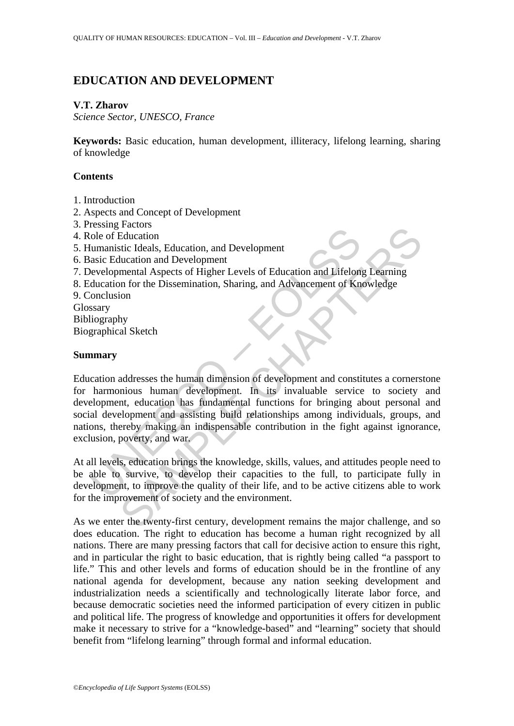# **EDUCATION AND DEVELOPMENT**

## **V.T. Zharov**

*Science Sector, UNESCO, France* 

**Keywords:** Basic education, human development, illiteracy, lifelong learning, sharing of knowledge

## **Contents**

- 1. Introduction
- 2. Aspects and Concept of Development
- 3. Pressing Factors
- 4. Role of Education
- 5. Humanistic Ideals, Education, and Development
- 6. Basic Education and Development
- 7. Developmental Aspects of Higher Levels of Education and Lifelong Learning
- 8. Education for the Dissemination, Sharing, and Advancement of Knowledge
- 9. Conclusion

Glossary Bibliography Biographical Sketch

#### **Summary**

Cosimpt Tuesday<br>
Color Education<br>
(Immanistic Ideals, Education, and Development<br>
asic Education and Development<br>
asic Education and Development<br>
discussion<br>
onclusion<br>
for the Dissemination, Sharing, and Advancement of Kn Tractors<br>
Feducation<br>
Education<br>
Education and Development<br>
Interaction and Lifelong Learning<br>
mental Aspects of Higher Levels of Education and Lifelong Learning<br>
m for the Dissemination, Sharing, and Advancement of Knowle Education addresses the human dimension of development and constitutes a cornerstone for harmonious human development. In its invaluable service to society and development, education has fundamental functions for bringing about personal and social development and assisting build relationships among individuals, groups, and nations, thereby making an indispensable contribution in the fight against ignorance, exclusion, poverty, and war.

At all levels, education brings the knowledge, skills, values, and attitudes people need to be able to survive, to develop their capacities to the full, to participate fully in development, to improve the quality of their life, and to be active citizens able to work for the improvement of society and the environment.

As we enter the twenty-first century, development remains the major challenge, and so does education. The right to education has become a human right recognized by all nations. There are many pressing factors that call for decisive action to ensure this right, and in particular the right to basic education, that is rightly being called "a passport to life." This and other levels and forms of education should be in the frontline of any national agenda for development, because any nation seeking development and industrialization needs a scientifically and technologically literate labor force, and because democratic societies need the informed participation of every citizen in public and political life. The progress of knowledge and opportunities it offers for development make it necessary to strive for a "knowledge-based" and "learning" society that should benefit from "lifelong learning" through formal and informal education.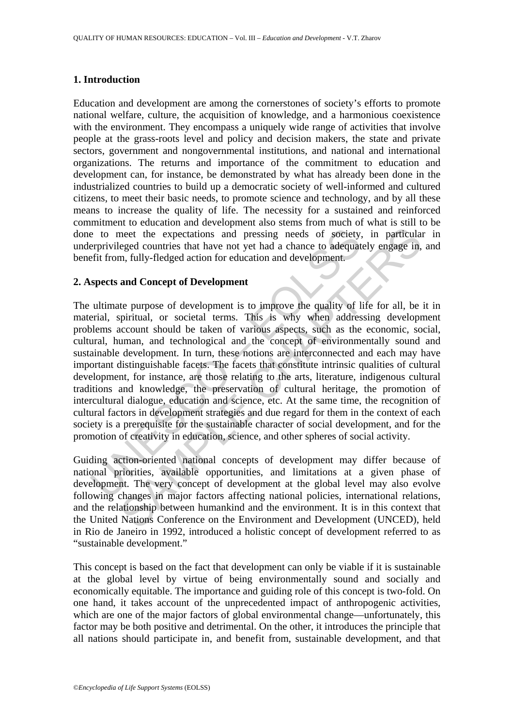#### **1. Introduction**

Education and development are among the cornerstones of society's efforts to promote national welfare, culture, the acquisition of knowledge, and a harmonious coexistence with the environment. They encompass a uniquely wide range of activities that involve people at the grass-roots level and policy and decision makers, the state and private sectors, government and nongovernmental institutions, and national and international organizations. The returns and importance of the commitment to education and development can, for instance, be demonstrated by what has already been done in the industrialized countries to build up a democratic society of well-informed and cultured citizens, to meet their basic needs, to promote science and technology, and by all these means to increase the quality of life. The necessity for a sustained and reinforced commitment to education and development also stems from much of what is still to be done to meet the expectations and pressing needs of society, in particular in underprivileged countries that have not yet had a chance to adequately engage in, and benefit from, fully-fledged action for education and development.

#### **2. Aspects and Concept of Development**

e to meet the expectations and pressing needs of society,<br>erprivileged countries that have not yet had a chance to adequat<br>efit from, fully-fledged action for education and development.<br>**spects and Concept of Development**<br> meet the expectations and pressing needs of society, in particular<br>eged countries that have not yet had a chance to adequately engage in,<br>n, fully-fledged action for education and development.<br>and Concept of Development<br>te The ultimate purpose of development is to improve the quality of life for all, be it in material, spiritual, or societal terms. This is why when addressing development problems account should be taken of various aspects, such as the economic, social, cultural, human, and technological and the concept of environmentally sound and sustainable development. In turn, these notions are interconnected and each may have important distinguishable facets. The facets that constitute intrinsic qualities of cultural development, for instance, are those relating to the arts, literature, indigenous cultural traditions and knowledge, the preservation of cultural heritage, the promotion of intercultural dialogue, education and science, etc. At the same time, the recognition of cultural factors in development strategies and due regard for them in the context of each society is a prerequisite for the sustainable character of social development, and for the promotion of creativity in education, science, and other spheres of social activity.

Guiding action-oriented national concepts of development may differ because of national priorities, available opportunities, and limitations at a given phase of development. The very concept of development at the global level may also evolve following changes in major factors affecting national policies, international relations, and the relationship between humankind and the environment. It is in this context that the United Nations Conference on the Environment and Development (UNCED), held in Rio de Janeiro in 1992, introduced a holistic concept of development referred to as "sustainable development."

This concept is based on the fact that development can only be viable if it is sustainable at the global level by virtue of being environmentally sound and socially and economically equitable. The importance and guiding role of this concept is two-fold. On one hand, it takes account of the unprecedented impact of anthropogenic activities, which are one of the major factors of global environmental change—unfortunately, this factor may be both positive and detrimental. On the other, it introduces the principle that all nations should participate in, and benefit from, sustainable development, and that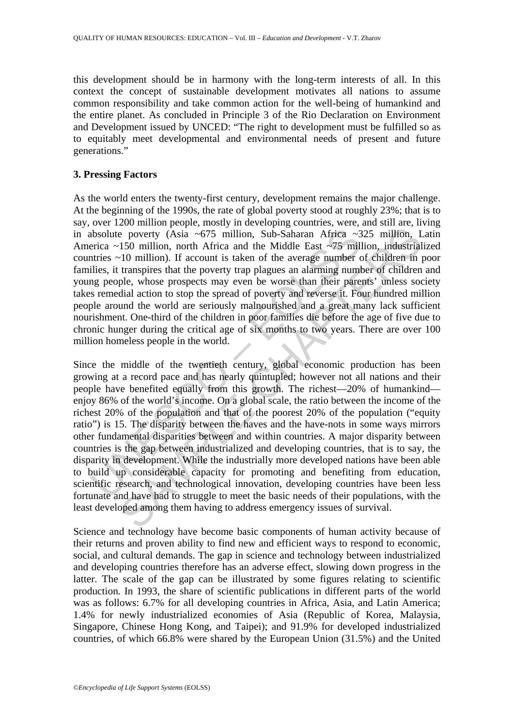this development should be in harmony with the long-term interests of all. In this context the concept of sustainable development motivates all nations to assume common responsibility and take common action for the well-being of humankind and the entire planet. As concluded in Principle 3 of the Rio Declaration on Environment and Development issued by UNCED: "The right to development must be fulfilled so as to equitably meet developmental and environmental needs of present and future generations."

#### **3. Pressing Factors**

As the world enters the twenty-first century, development remains the major challenge. At the beginning of the 1990s, the rate of global poverty stood at roughly 23%; that is to say, over 1200 million people, mostly in developing countries, were, and still are, living in absolute poverty (Asia ~675 million, Sub-Saharan Africa ~325 million, Latin America ~150 million, north Africa and the Middle East ~75 million, industrialized countries ~10 million). If account is taken of the average number of children in poor families, it transpires that the poverty trap plagues an alarming number of children and young people, whose prospects may even be worse than their parents' unless society takes remedial action to stop the spread of poverty and reverse it. Four hundred million people around the world are seriously malnourished and a great many lack sufficient nourishment. One-third of the children in poor families die before the age of five due to chronic hunger during the critical age of six months to two years. There are over 100 million homeless people in the world.

absolute poverty (Asia ~675 million, Sub-Saharan Africa ~3<br>erica ~150 million, north Africa and the Middle East ~75 mill<br>tiries ~10 million). If account is taken of the average number of<br>lies, it transpires that the pover is power to the boundary and the Middle East  $\sim$ 75 million, Sub-Saharan Africa  $\sim$ 325 million, 150 million, north Africa and the Middle East  $\sim$ 75 million, industrial 10 million). If account is taken of the average num Since the middle of the twentieth century, global economic production has been growing at a record pace and has nearly quintupled; however not all nations and their people have benefited equally from this growth. The richest—20% of humankind enjoy 86% of the world's income. On a global scale, the ratio between the income of the richest 20% of the population and that of the poorest 20% of the population ("equity ratio") is 15. The disparity between the haves and the have-nots in some ways mirrors other fundamental disparities between and within countries. A major disparity between countries is the gap between industrialized and developing countries, that is to say, the disparity in development. While the industrially more developed nations have been able to build up considerable capacity for promoting and benefiting from education, scientific research, and technological innovation, developing countries have been less fortunate and have had to struggle to meet the basic needs of their populations, with the least developed among them having to address emergency issues of survival.

Science and technology have become basic components of human activity because of their returns and proven ability to find new and efficient ways to respond to economic, social, and cultural demands. The gap in science and technology between industrialized and developing countries therefore has an adverse effect, slowing down progress in the latter. The scale of the gap can be illustrated by some figures relating to scientific production. In 1993, the share of scientific publications in different parts of the world was as follows: 6.7% for all developing countries in Africa, Asia, and Latin America; 1.4% for newly industrialized economies of Asia (Republic of Korea, Malaysia, Singapore, Chinese Hong Kong, and Taipei); and 91.9% for developed industrialized countries, of which 66.8% were shared by the European Union (31.5%) and the United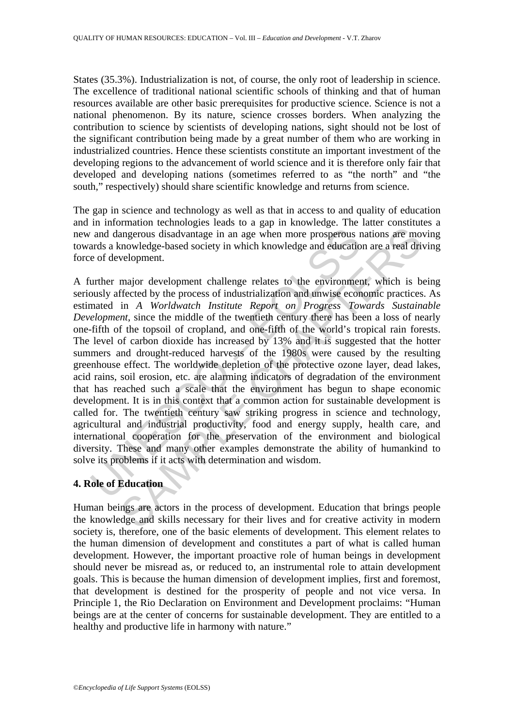States (35.3%). Industrialization is not, of course, the only root of leadership in science. The excellence of traditional national scientific schools of thinking and that of human resources available are other basic prerequisites for productive science. Science is not a national phenomenon. By its nature, science crosses borders. When analyzing the contribution to science by scientists of developing nations, sight should not be lost of the significant contribution being made by a great number of them who are working in industrialized countries. Hence these scientists constitute an important investment of the developing regions to the advancement of world science and it is therefore only fair that developed and developing nations (sometimes referred to as "the north" and "the south," respectively) should share scientific knowledge and returns from science.

The gap in science and technology as well as that in access to and quality of education and in information technologies leads to a gap in knowledge. The latter constitutes a new and dangerous disadvantage in an age when more prosperous nations are moving towards a knowledge-based society in which knowledge and education are a real driving force of development.

and dangerous disadvantage in an age when more prosperous rands a knowledge-based society in which knowledge and educatio e of development.<br>
urther major development challenge relates to the environment must<br>
urther major imagrous disadvantage in an age when more prosperous nations are more magrous disadvantage in an age when more prosperous nations are more moveledge-based society in which knowledge and education are a real drivelopment.<br> A further major development challenge relates to the environment, which is being seriously affected by the process of industrialization and unwise economic practices. As estimated in *A Worldwatch Institute Report on Progress Towards Sustainable Development*, since the middle of the twentieth century there has been a loss of nearly one-fifth of the topsoil of cropland, and one-fifth of the world's tropical rain forests. The level of carbon dioxide has increased by 13% and it is suggested that the hotter summers and drought-reduced harvests of the 1980s were caused by the resulting greenhouse effect. The worldwide depletion of the protective ozone layer, dead lakes, acid rains, soil erosion, etc. are alarming indicators of degradation of the environment that has reached such a scale that the environment has begun to shape economic development. It is in this context that a common action for sustainable development is called for. The twentieth century saw striking progress in science and technology, agricultural and industrial productivity, food and energy supply, health care, and international cooperation for the preservation of the environment and biological diversity. These and many other examples demonstrate the ability of humankind to solve its problems if it acts with determination and wisdom.

## **4. Role of Education**

Human beings are actors in the process of development. Education that brings people the knowledge and skills necessary for their lives and for creative activity in modern society is, therefore, one of the basic elements of development. This element relates to the human dimension of development and constitutes a part of what is called human development. However, the important proactive role of human beings in development should never be misread as, or reduced to, an instrumental role to attain development goals. This is because the human dimension of development implies, first and foremost, that development is destined for the prosperity of people and not vice versa. In Principle 1, the Rio Declaration on Environment and Development proclaims: "Human beings are at the center of concerns for sustainable development. They are entitled to a healthy and productive life in harmony with nature."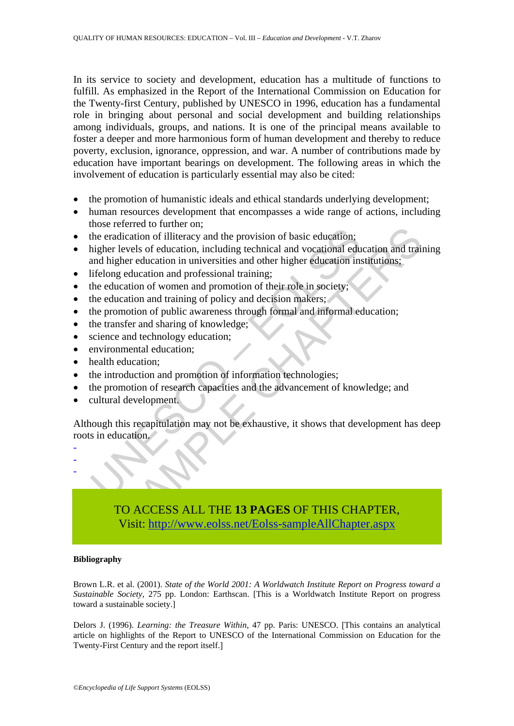In its service to society and development, education has a multitude of functions to fulfill. As emphasized in the Report of the International Commission on Education for the Twenty-first Century, published by UNESCO in 1996, education has a fundamental role in bringing about personal and social development and building relationships among individuals, groups, and nations. It is one of the principal means available to foster a deeper and more harmonious form of human development and thereby to reduce poverty, exclusion, ignorance, oppression, and war. A number of contributions made by education have important bearings on development. The following areas in which the involvement of education is particularly essential may also be cited:

- the promotion of humanistic ideals and ethical standards underlying development;
- human resources development that encompasses a wide range of actions, including those referred to further on;
- the eradication of illiteracy and the provision of basic education;
- The eradication of illultracy and the provision of basic education;<br>the eradication of illultracy and the provision of basic education;<br>thigher levels of education, including technical and vocational edu<br>and higher educati [S](https://www.eolss.net/ebooklib/sc_cart.aspx?File=E1-12-05-01)olution of illieracy and the provision of basic education;<br>the dication of illieracy and the provision of basic education;<br>levels of education in universities and other higher education institutions;<br>equation and professi • higher levels of education, including technical and vocational education and training and higher education in universities and other higher education institutions;
- lifelong education and professional training;
- the education of women and promotion of their role in society;
- the education and training of policy and decision makers;
- the promotion of public awareness through formal and informal education;
- the transfer and sharing of knowledge;
- science and technology education;
- environmental education:
- health education;
- the introduction and promotion of information technologies;
- the promotion of research capacities and the advancement of knowledge; and
- cultural development.

Although this recapitulation may not be exhaustive, it shows that development has deep roots in education.

- - -

> TO ACCESS ALL THE **13 PAGES** OF THIS CHAPTER, Visit: http://www.eolss.net/Eolss-sampleAllChapter.aspx

#### **Bibliography**

Brown L.R. et al. (2001). *State of the World 2001: A Worldwatch Institute Report on Progress toward a Sustainable Society*, 275 pp. London: Earthscan. [This is a Worldwatch Institute Report on progress toward a sustainable society.]

Delors J. (1996). *Learning: the Treasure Within*, 47 pp. Paris: UNESCO. [This contains an analytical article on highlights of the Report to UNESCO of the International Commission on Education for the Twenty-First Century and the report itself.]